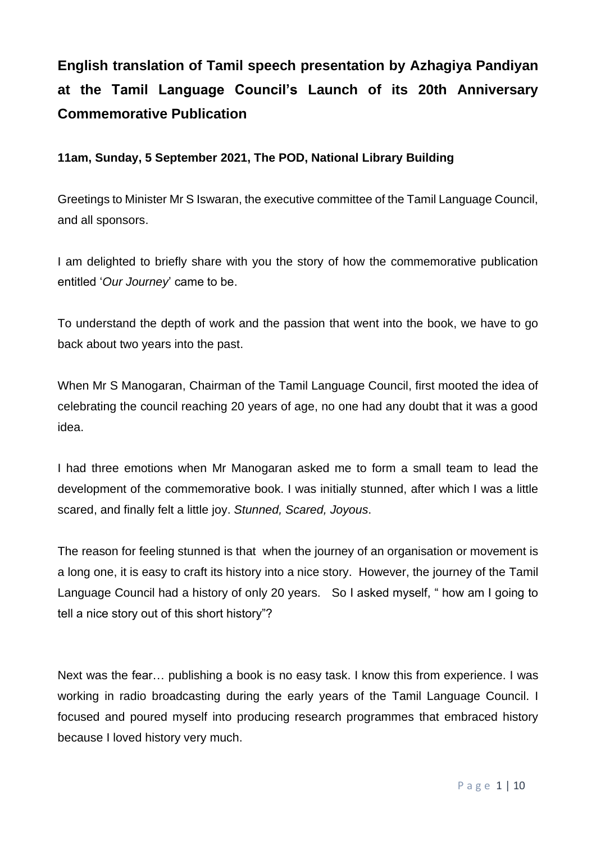## **English translation of Tamil speech presentation by Azhagiya Pandiyan at the Tamil Language Council's Launch of its 20th Anniversary Commemorative Publication**

## **11am, Sunday, 5 September 2021, The POD, National Library Building**

Greetings to Minister Mr S Iswaran, the executive committee of the Tamil Language Council, and all sponsors.

I am delighted to briefly share with you the story of how the commemorative publication entitled '*Our Journey*' came to be.

To understand the depth of work and the passion that went into the book, we have to go back about two years into the past.

When Mr S Manogaran, Chairman of the Tamil Language Council, first mooted the idea of celebrating the council reaching 20 years of age, no one had any doubt that it was a good idea.

I had three emotions when Mr Manogaran asked me to form a small team to lead the development of the commemorative book. I was initially stunned, after which I was a little scared, and finally felt a little joy. *Stunned, Scared, Joyous*.

The reason for feeling stunned is that when the journey of an organisation or movement is a long one, it is easy to craft its history into a nice story. However, the journey of the Tamil Language Council had a history of only 20 years. So I asked myself, " how am I going to tell a nice story out of this short history"?

Next was the fear… publishing a book is no easy task. I know this from experience. I was working in radio broadcasting during the early years of the Tamil Language Council. I focused and poured myself into producing research programmes that embraced history because I loved history very much.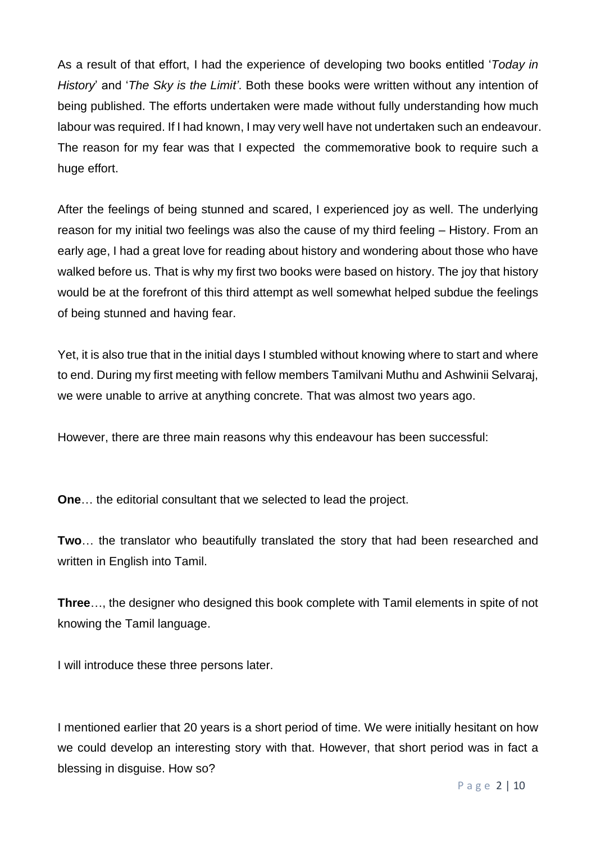As a result of that effort, I had the experience of developing two books entitled '*Today in History*' and '*The Sky is the Limit'*. Both these books were written without any intention of being published. The efforts undertaken were made without fully understanding how much labour was required. If I had known, I may very well have not undertaken such an endeavour. The reason for my fear was that I expected the commemorative book to require such a huge effort.

After the feelings of being stunned and scared, I experienced joy as well. The underlying reason for my initial two feelings was also the cause of my third feeling – History. From an early age, I had a great love for reading about history and wondering about those who have walked before us. That is why my first two books were based on history. The joy that history would be at the forefront of this third attempt as well somewhat helped subdue the feelings of being stunned and having fear.

Yet, it is also true that in the initial days I stumbled without knowing where to start and where to end. During my first meeting with fellow members Tamilvani Muthu and Ashwinii Selvaraj, we were unable to arrive at anything concrete. That was almost two years ago.

However, there are three main reasons why this endeavour has been successful:

**One**… the editorial consultant that we selected to lead the project.

**Two**… the translator who beautifully translated the story that had been researched and written in English into Tamil.

**Three**…, the designer who designed this book complete with Tamil elements in spite of not knowing the Tamil language.

I will introduce these three persons later.

I mentioned earlier that 20 years is a short period of time. We were initially hesitant on how we could develop an interesting story with that. However, that short period was in fact a blessing in disguise. How so?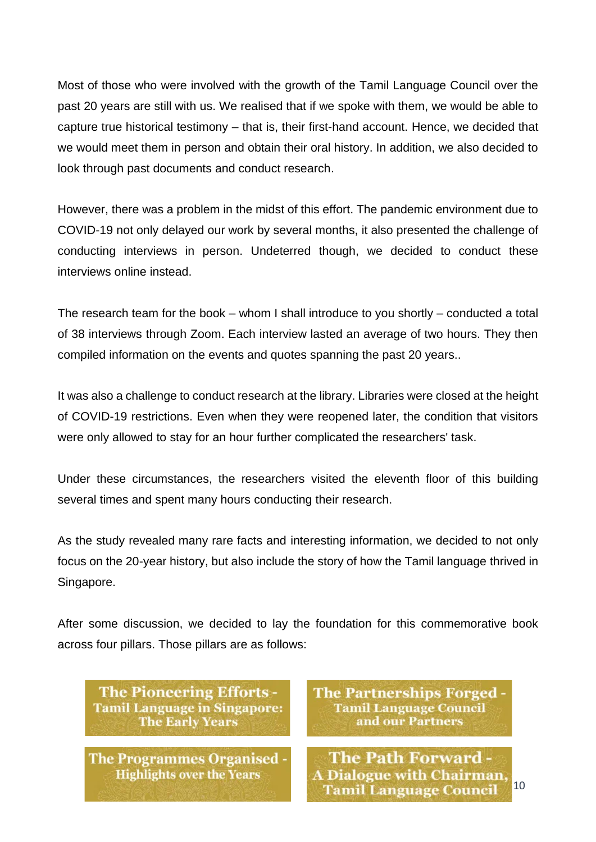Most of those who were involved with the growth of the Tamil Language Council over the past 20 years are still with us. We realised that if we spoke with them, we would be able to capture true historical testimony – that is, their first-hand account. Hence, we decided that we would meet them in person and obtain their oral history. In addition, we also decided to look through past documents and conduct research.

However, there was a problem in the midst of this effort. The pandemic environment due to COVID-19 not only delayed our work by several months, it also presented the challenge of conducting interviews in person. Undeterred though, we decided to conduct these interviews online instead.

The research team for the book – whom I shall introduce to you shortly – conducted a total of 38 interviews through Zoom. Each interview lasted an average of two hours. They then compiled information on the events and quotes spanning the past 20 years..

It was also a challenge to conduct research at the library. Libraries were closed at the height of COVID-19 restrictions. Even when they were reopened later, the condition that visitors were only allowed to stay for an hour further complicated the researchers' task.

Under these circumstances, the researchers visited the eleventh floor of this building several times and spent many hours conducting their research.

As the study revealed many rare facts and interesting information, we decided to not only focus on the 20-year history, but also include the story of how the Tamil language thrived in Singapore.

After some discussion, we decided to lay the foundation for this commemorative book across four pillars. Those pillars are as follows:

**The Pioneering Efforts -Tamil Language in Singapore: The Early Years** 

**The Programmes Organised -Highlights over the Years** 

**The Partnerships Forged Tamil Language Council** and our Partners

**The Path Forward -A Dialogue with Chairman.** Tamil Language Council 10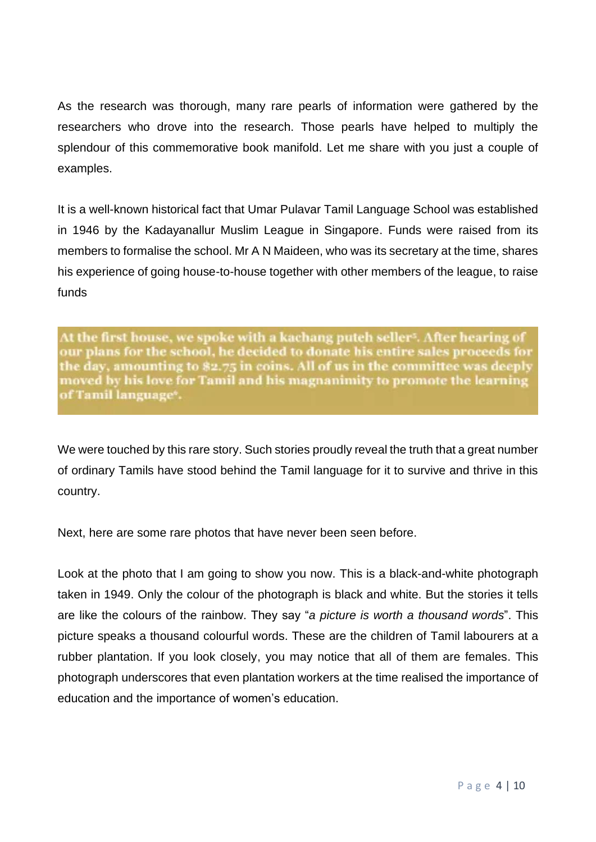As the research was thorough, many rare pearls of information were gathered by the researchers who drove into the research. Those pearls have helped to multiply the splendour of this commemorative book manifold. Let me share with you just a couple of examples.

It is a well-known historical fact that Umar Pulavar Tamil Language School was established in 1946 by the Kadayanallur Muslim League in Singapore. Funds were raised from its members to formalise the school. Mr A N Maideen, who was its secretary at the time, shares his experience of going house-to-house together with other members of the league, to raise funds

At the first house, we spoke with a kachang puteh seller<sup>s</sup>. After hearing of our plans for the school, he decided to donate his entire sales proceeds for the day, amounting to \$2.75 in coins. All of us in the committee was deeply moved by his love for Tamil and his magnanimity to promote the learning of Tamil language\*.

We were touched by this rare story. Such stories proudly reveal the truth that a great number of ordinary Tamils have stood behind the Tamil language for it to survive and thrive in this country.

Next, here are some rare photos that have never been seen before.

Look at the photo that I am going to show you now. This is a black-and-white photograph taken in 1949. Only the colour of the photograph is black and white. But the stories it tells are like the colours of the rainbow. They say "*a picture is worth a thousand words*". This picture speaks a thousand colourful words. These are the children of Tamil labourers at a rubber plantation. If you look closely, you may notice that all of them are females. This photograph underscores that even plantation workers at the time realised the importance of education and the importance of women's education.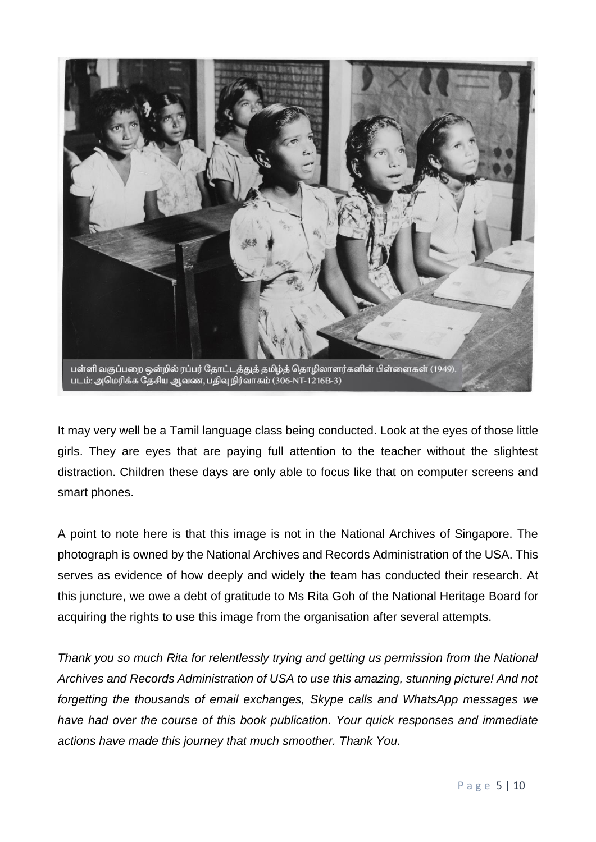

It may very well be a Tamil language class being conducted. Look at the eyes of those little girls. They are eyes that are paying full attention to the teacher without the slightest distraction. Children these days are only able to focus like that on computer screens and smart phones.

A point to note here is that this image is not in the National Archives of Singapore. The photograph is owned by the National Archives and Records Administration of the USA. This serves as evidence of how deeply and widely the team has conducted their research. At this juncture, we owe a debt of gratitude to Ms Rita Goh of the National Heritage Board for acquiring the rights to use this image from the organisation after several attempts.

*Thank you so much Rita for relentlessly trying and getting us permission from the National Archives and Records Administration of USA to use this amazing, stunning picture! And not forgetting the thousands of email exchanges, Skype calls and WhatsApp messages we have had over the course of this book publication. Your quick responses and immediate actions have made this journey that much smoother. Thank You.*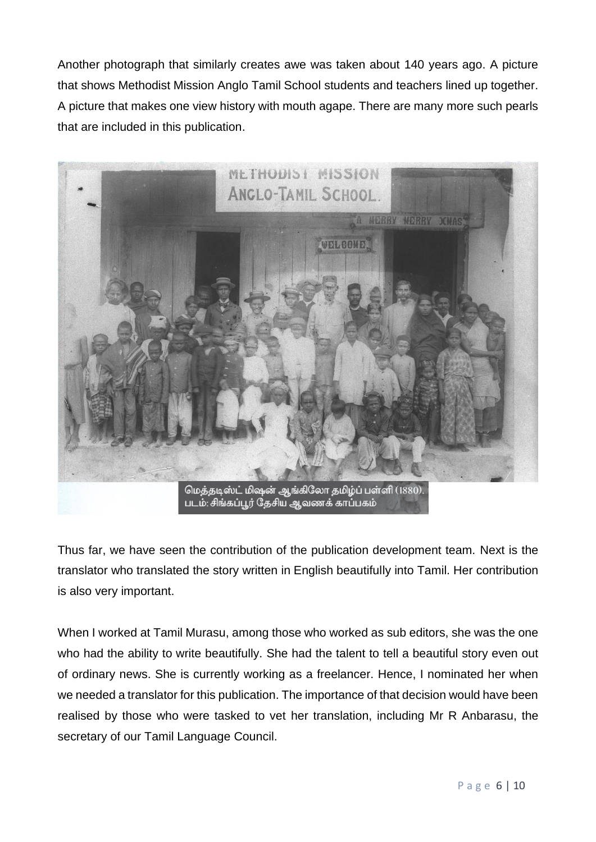Another photograph that similarly creates awe was taken about 140 years ago. A picture that shows Methodist Mission Anglo Tamil School students and teachers lined up together. A picture that makes one view history with mouth agape. There are many more such pearls that are included in this publication.



Thus far, we have seen the contribution of the publication development team. Next is the translator who translated the story written in English beautifully into Tamil. Her contribution is also very important.

When I worked at Tamil Murasu, among those who worked as sub editors, she was the one who had the ability to write beautifully. She had the talent to tell a beautiful story even out of ordinary news. She is currently working as a freelancer. Hence, I nominated her when we needed a translator for this publication. The importance of that decision would have been realised by those who were tasked to vet her translation, including Mr R Anbarasu, the secretary of our Tamil Language Council.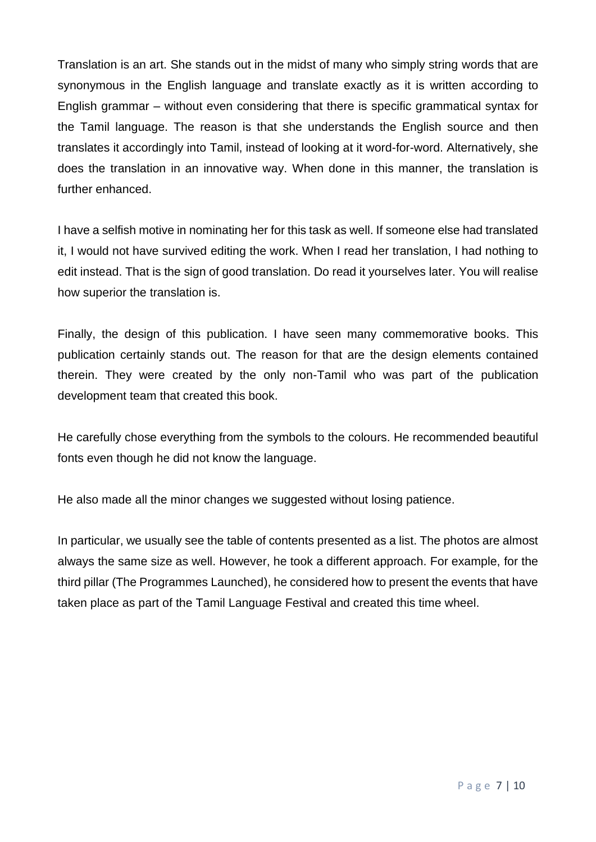Translation is an art. She stands out in the midst of many who simply string words that are synonymous in the English language and translate exactly as it is written according to English grammar – without even considering that there is specific grammatical syntax for the Tamil language. The reason is that she understands the English source and then translates it accordingly into Tamil, instead of looking at it word-for-word. Alternatively, she does the translation in an innovative way. When done in this manner, the translation is further enhanced.

I have a selfish motive in nominating her for this task as well. If someone else had translated it, I would not have survived editing the work. When I read her translation, I had nothing to edit instead. That is the sign of good translation. Do read it yourselves later. You will realise how superior the translation is.

Finally, the design of this publication. I have seen many commemorative books. This publication certainly stands out. The reason for that are the design elements contained therein. They were created by the only non-Tamil who was part of the publication development team that created this book.

He carefully chose everything from the symbols to the colours. He recommended beautiful fonts even though he did not know the language.

He also made all the minor changes we suggested without losing patience.

In particular, we usually see the table of contents presented as a list. The photos are almost always the same size as well. However, he took a different approach. For example, for the third pillar (The Programmes Launched), he considered how to present the events that have taken place as part of the Tamil Language Festival and created this time wheel.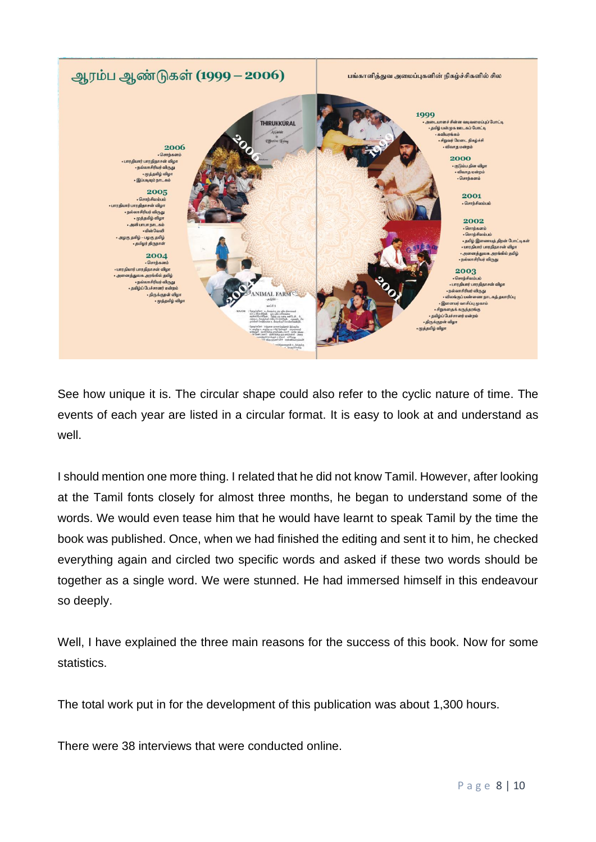

See how unique it is. The circular shape could also refer to the cyclic nature of time. The events of each year are listed in a circular format. It is easy to look at and understand as well.

I should mention one more thing. I related that he did not know Tamil. However, after looking at the Tamil fonts closely for almost three months, he began to understand some of the words. We would even tease him that he would have learnt to speak Tamil by the time the book was published. Once, when we had finished the editing and sent it to him, he checked everything again and circled two specific words and asked if these two words should be together as a single word. We were stunned. He had immersed himself in this endeavour so deeply.

Well, I have explained the three main reasons for the success of this book. Now for some statistics.

The total work put in for the development of this publication was about 1,300 hours.

There were 38 interviews that were conducted online.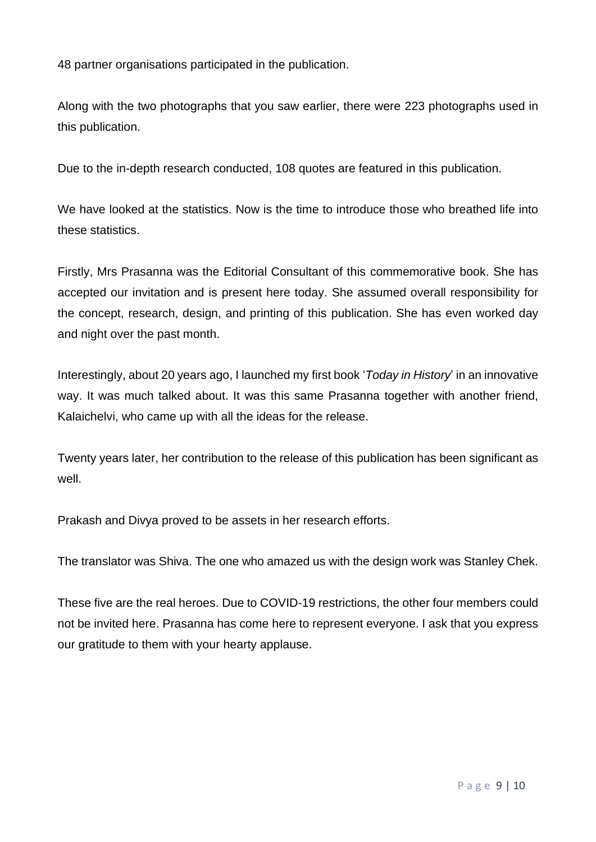48 partner organisations participated in the publication.

Along with the two photographs that you saw earlier, there were 223 photographs used in this publication.

Due to the in-depth research conducted, 108 quotes are featured in this publication.

We have looked at the statistics. Now is the time to introduce those who breathed life into these statistics.

Firstly, Mrs Prasanna was the Editorial Consultant of this commemorative book. She has accepted our invitation and is present here today. She assumed overall responsibility for the concept, research, design, and printing of this publication. She has even worked day and night over the past month.

Interestingly, about 20 years ago, I launched my first book '*Today in History*' in an innovative way. It was much talked about. It was this same Prasanna together with another friend, Kalaichelvi, who came up with all the ideas for the release.

Twenty years later, her contribution to the release of this publication has been significant as well.

Prakash and Divya proved to be assets in her research efforts.

The translator was Shiva. The one who amazed us with the design work was Stanley Chek.

These five are the real heroes. Due to COVID-19 restrictions, the other four members could not be invited here. Prasanna has come here to represent everyone. I ask that you express our gratitude to them with your hearty applause.